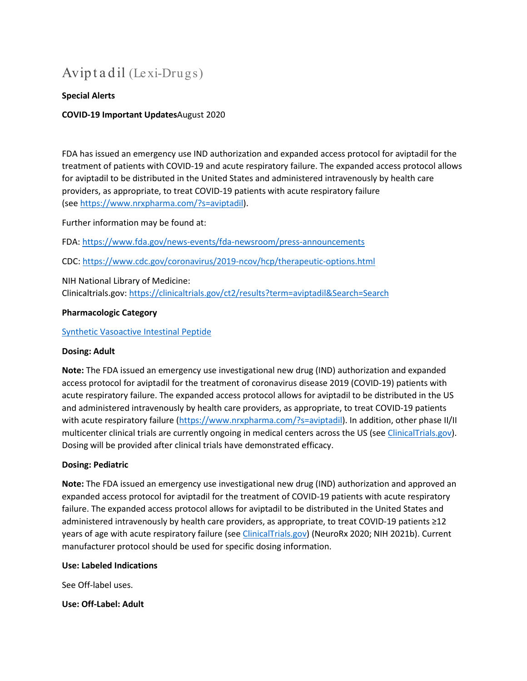# Avip t a dil (Lexi-Drugs)

### **Special Alerts**

### **COVID-19 Important Updates**August 2020

FDA has issued an emergency use IND authorization and expanded access protocol for aviptadil for the treatment of patients with COVID-19 and acute respiratory failure. The expanded access protocol allows for aviptadil to be distributed in the United States and administered intravenously by health care providers, as appropriate, to treat COVID-19 patients with acute respiratory failure (see [https://www.nrxpharma.com/?s=aviptadil\)](https://www.nrxpharma.com/?s=aviptadil).

Further information may be found at:

FDA: <https://www.fda.gov/news-events/fda-newsroom/press-announcements>

CDC: <https://www.cdc.gov/coronavirus/2019-ncov/hcp/therapeutic-options.html>

NIH National Library of Medicine: Clinicaltrials.gov: <https://clinicaltrials.gov/ct2/results?term=aviptadil&Search=Search>

#### **Pharmacologic Category**

#### [Synthetic Vasoactive Intestinal Peptide](https://online.lexi.com/lco/action/search/pharmacat/patch_f?q=Synthetic%20Vasoactive%20Intestinal%20Peptide)

#### **Dosing: Adult**

**Note:** The FDA issued an emergency use investigational new drug (IND) authorization and expanded access protocol for aviptadil for the treatment of coronavirus disease 2019 (COVID-19) patients with acute respiratory failure. The expanded access protocol allows for aviptadil to be distributed in the US and administered intravenously by health care providers, as appropriate, to treat COVID-19 patients with acute respiratory failure [\(https://www.nrxpharma.com/?s=aviptadil\)](https://www.nrxpharma.com/?s=aviptadil). In addition, other phase II/II multicenter clinical trials are currently ongoing in medical centers across the US (see [ClinicalTrials.gov\)](https://clinicaltrials.gov/ct2/results?cond=covid-19+&term=aviptadil&cntry=&state=&city=&dist=&Search=Search). Dosing will be provided after clinical trials have demonstrated efficacy.

#### **Dosing: Pediatric**

**Note:** The FDA issued an emergency use investigational new drug (IND) authorization and approved an expanded access protocol for aviptadil for the treatment of COVID-19 patients with acute respiratory failure. The expanded access protocol allows for aviptadil to be distributed in the United States and administered intravenously by health care providers, as appropriate, to treat COVID-19 patients ≥12 years of age with acute respiratory failure (see [ClinicalTrials.gov\)](https://clinicaltrials.gov/ct2/show/NCT04453839?term=aviptadil&cond=covid-19&draw=2&rank=3) (NeuroRx 2020; NIH 2021b). Current manufacturer protocol should be used for specific dosing information.

#### **Use: Labeled Indications**

See Off-label uses.

**Use: Off-Label: Adult**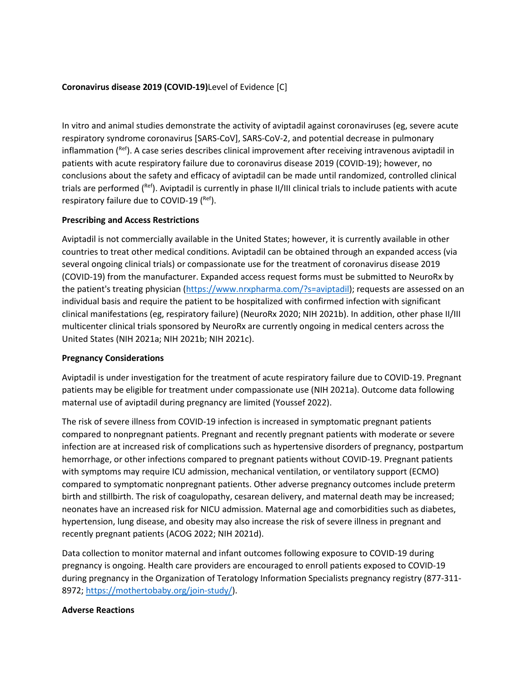## **Coronavirus disease 2019 (COVID-19)**Level of Evidence [C]

In vitro and animal studies demonstrate the activity of aviptadil against coronaviruses (eg, severe acute respiratory syndrome coronavirus [SARS-CoV], SARS-CoV-2, and potential decrease in pulmonary inflammation ( $\text{Ref}$ ). A case series describes clinical improvement after receiving intravenous aviptadil in patients with acute respiratory failure due to coronavirus disease 2019 (COVID-19); however, no conclusions about the safety and efficacy of aviptadil can be made until randomized, controlled clinical trials are performed (Ref). Aviptadil is currently in phase II/III clinical trials to include patients with acute respiratory failure due to COVID-19  $(^{Ref})$ .

#### **Prescribing and Access Restrictions**

Aviptadil is not commercially available in the United States; however, it is currently available in other countries to treat other medical conditions. Aviptadil can be obtained through an expanded access (via several ongoing clinical trials) or compassionate use for the treatment of coronavirus disease 2019 (COVID-19) from the manufacturer. Expanded access request forms must be submitted to NeuroRx by the patient's treating physician [\(https://www.nrxpharma.com/?s=aviptadil\)](https://www.nrxpharma.com/?s=aviptadil); requests are assessed on an individual basis and require the patient to be hospitalized with confirmed infection with significant clinical manifestations (eg, respiratory failure) (NeuroRx 2020; NIH 2021b). In addition, other phase II/III multicenter clinical trials sponsored by NeuroRx are currently ongoing in medical centers across the United States (NIH 2021a; NIH 2021b; NIH 2021c).

#### **Pregnancy Considerations**

Aviptadil is under investigation for the treatment of acute respiratory failure due to COVID-19. Pregnant patients may be eligible for treatment under compassionate use (NIH 2021a). Outcome data following maternal use of aviptadil during pregnancy are limited (Youssef 2022).

The risk of severe illness from COVID-19 infection is increased in symptomatic pregnant patients compared to nonpregnant patients. Pregnant and recently pregnant patients with moderate or severe infection are at increased risk of complications such as hypertensive disorders of pregnancy, postpartum hemorrhage, or other infections compared to pregnant patients without COVID-19. Pregnant patients with symptoms may require ICU admission, mechanical ventilation, or ventilatory support (ECMO) compared to symptomatic nonpregnant patients. Other adverse pregnancy outcomes include preterm birth and stillbirth. The risk of coagulopathy, cesarean delivery, and maternal death may be increased; neonates have an increased risk for NICU admission. Maternal age and comorbidities such as diabetes, hypertension, lung disease, and obesity may also increase the risk of severe illness in pregnant and recently pregnant patients (ACOG 2022; NIH 2021d).

Data collection to monitor maternal and infant outcomes following exposure to COVID-19 during pregnancy is ongoing. Health care providers are encouraged to enroll patients exposed to COVID-19 during pregnancy in the Organization of Teratology Information Specialists pregnancy registry (877-311- 8972; [https://mothertobaby.org/join-study/\)](https://mothertobaby.org/join-study/).

#### **Adverse Reactions**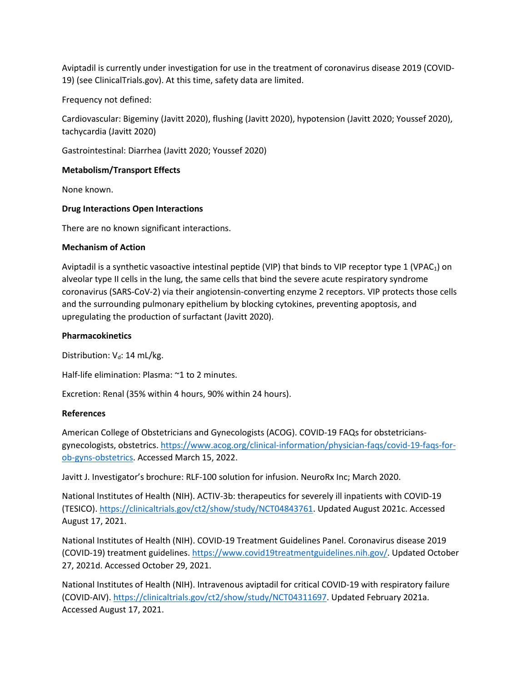Aviptadil is currently under investigation for use in the treatment of coronavirus disease 2019 (COVID-19) (see ClinicalTrials.gov). At this time, safety data are limited.

Frequency not defined:

Cardiovascular: Bigeminy (Javitt 2020), flushing (Javitt 2020), hypotension (Javitt 2020; Youssef 2020), tachycardia (Javitt 2020)

Gastrointestinal: Diarrhea (Javitt 2020; Youssef 2020)

## **Metabolism/Transport Effects**

None known.

## **Drug Interactions Open Interactions**

There are no known significant interactions.

#### **Mechanism of Action**

Aviptadil is a synthetic vasoactive intestinal peptide (VIP) that binds to VIP receptor type 1 (VPAC<sub>1</sub>) on alveolar type II cells in the lung, the same cells that bind the severe acute respiratory syndrome coronavirus (SARS-CoV-2) via their angiotensin-converting enzyme 2 receptors. VIP protects those cells and the surrounding pulmonary epithelium by blocking cytokines, preventing apoptosis, and upregulating the production of surfactant (Javitt 2020).

## **Pharmacokinetics**

Distribution:  $V_d$ : 14 mL/kg.

Half-life elimination: Plasma: ~1 to 2 minutes.

Excretion: Renal (35% within 4 hours, 90% within 24 hours).

#### **References**

American College of Obstetricians and Gynecologists (ACOG). COVID-19 FAQs for obstetriciansgynecologists, obstetrics. [https://www.acog.org/clinical-information/physician-faqs/covid-19-faqs-for](https://www.acog.org/clinical-information/physician-faqs/covid-19-faqs-for-ob-gyns-obstetrics)[ob-gyns-obstetrics.](https://www.acog.org/clinical-information/physician-faqs/covid-19-faqs-for-ob-gyns-obstetrics) Accessed March 15, 2022.

Javitt J. Investigator's brochure: RLF-100 solution for infusion. NeuroRx Inc; March 2020.

National Institutes of Health (NIH). ACTIV-3b: therapeutics for severely ill inpatients with COVID-19 (TESICO). [https://clinicaltrials.gov/ct2/show/study/NCT04843761.](https://clinicaltrials.gov/ct2/show/study/NCT04843761) Updated August 2021c. Accessed August 17, 2021.

National Institutes of Health (NIH). COVID-19 Treatment Guidelines Panel. Coronavirus disease 2019 (COVID-19) treatment guidelines. [https://www.covid19treatmentguidelines.nih.gov/.](https://www.covid19treatmentguidelines.nih.gov/) Updated October 27, 2021d. Accessed October 29, 2021.

National Institutes of Health (NIH). Intravenous aviptadil for critical COVID-19 with respiratory failure (COVID-AIV). [https://clinicaltrials.gov/ct2/show/study/NCT04311697.](https://clinicaltrials.gov/ct2/show/study/NCT04311697) Updated February 2021a. Accessed August 17, 2021.